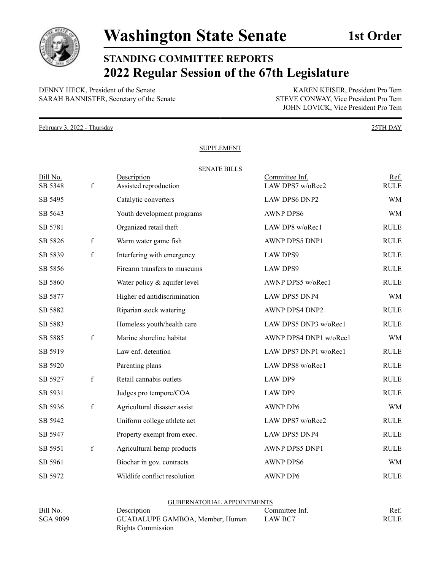

## **STANDING COMMITTEE REPORTS 2022 Regular Session of the 67th Legislature**

DENNY HECK, President of the Senate<br>
SARAH BANNISTER, Secretary of the Senate<br>
STEVE CONWAY, Vice President Pro Tem SARAH BANNISTER, Secretary of the Senate

JOHN LOVICK, Vice President Pro Tem

February 3, 2022 - Thursday 25TH DAY

## **SUPPLEMENT**

| Bill No. |             | <b>SENATE BILLS</b><br>Description | Committee Inf.         | Ref.        |
|----------|-------------|------------------------------------|------------------------|-------------|
| SB 5348  | f           | Assisted reproduction              | LAW DPS7 w/oRec2       | <b>RULE</b> |
| SB 5495  |             | Catalytic converters               | <b>LAW DPS6 DNP2</b>   | <b>WM</b>   |
| SB 5643  |             | Youth development programs         | <b>AWNP DPS6</b>       | <b>WM</b>   |
| SB 5781  |             | Organized retail theft             | LAW DP8 w/oRec1        | <b>RULE</b> |
| SB 5826  | $\mathbf f$ | Warm water game fish               | AWNP DPS5 DNP1         | <b>RULE</b> |
| SB 5839  | $\mathbf f$ | Interfering with emergency         | <b>LAW DPS9</b>        | <b>RULE</b> |
| SB 5856  |             | Firearm transfers to museums       | <b>LAW DPS9</b>        | <b>RULE</b> |
| SB 5860  |             | Water policy & aquifer level       | AWNP DPS5 w/oRec1      | <b>RULE</b> |
| SB 5877  |             | Higher ed antidiscrimination       | LAW DPS5 DNP4          | <b>WM</b>   |
| SB 5882  |             | Riparian stock watering            | AWNP DPS4 DNP2         | <b>RULE</b> |
| SB 5883  |             | Homeless youth/health care         | LAW DPS5 DNP3 w/oRec1  | <b>RULE</b> |
| SB 5885  | f           | Marine shoreline habitat           | AWNP DPS4 DNP1 w/oRec1 | <b>WM</b>   |
| SB 5919  |             | Law enf. detention                 | LAW DPS7 DNP1 w/oRec1  | <b>RULE</b> |
| SB 5920  |             | Parenting plans                    | LAW DPS8 w/oRec1       | <b>RULE</b> |
| SB 5927  | $\mathbf f$ | Retail cannabis outlets            | LAW DP9                | <b>RULE</b> |
| SB 5931  |             | Judges pro tempore/COA             | LAW DP9                | <b>RULE</b> |
| SB 5936  | f           | Agricultural disaster assist       | <b>AWNP DP6</b>        | <b>WM</b>   |
| SB 5942  |             | Uniform college athlete act        | LAW DPS7 w/oRec2       | <b>RULE</b> |
| SB 5947  |             | Property exempt from exec.         | <b>LAW DPS5 DNP4</b>   | <b>RULE</b> |
| SB 5951  | $\mathbf f$ | Agricultural hemp products         | AWNP DPS5 DNP1         | <b>RULE</b> |
| SB 5961  |             | Biochar in gov. contracts          | <b>AWNP DPS6</b>       | <b>WM</b>   |
| SB 5972  |             | Wildlife conflict resolution       | <b>AWNP DP6</b>        | <b>RULE</b> |

|                 | <b>GUBERNATORIAL APPOINTMENTS</b> |                |      |
|-----------------|-----------------------------------|----------------|------|
| Bill No.        | Description                       | Committee Inf. | Ref. |
| <b>SGA 9099</b> | GUADALUPE GAMBOA, Member, Human   | LAW BC7        | RULE |
|                 | Rights Commission                 |                |      |